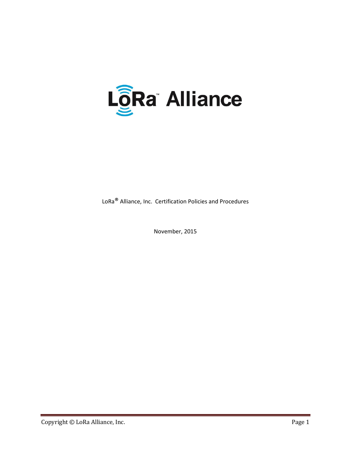

LoRa® Alliance, Inc. Certification Policies and Procedures

November, 2015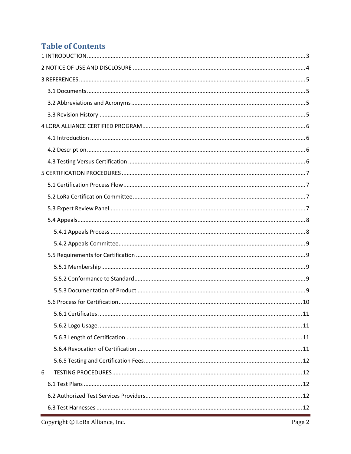# **Table of Contents**

| 6 |  |
|---|--|
|   |  |
|   |  |
|   |  |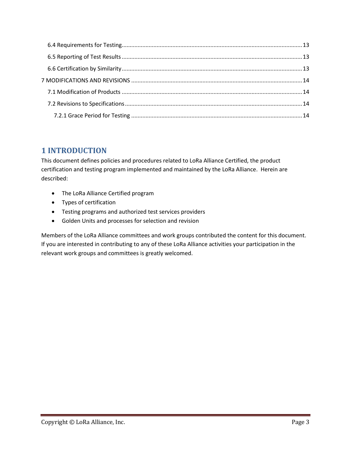# **1 INTRODUCTION**

This document defines policies and procedures related to LoRa Alliance Certified, the product certification and testing program implemented and maintained by the LoRa Alliance. Herein are described:

- The LoRa Alliance Certified program
- Types of certification
- Testing programs and authorized test services providers
- Golden Units and processes for selection and revision

Members of the LoRa Alliance committees and work groups contributed the content for this document. If you are interested in contributing to any of these LoRa Alliance activities your participation in the relevant work groups and committees is greatly welcomed.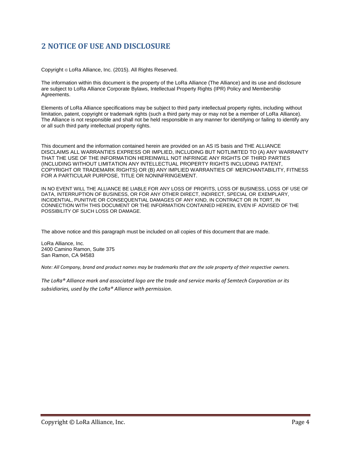## **2 NOTICE OF USE AND DISCLOSURE**

Copyright © LoRa Alliance, Inc. (2015). All Rights Reserved.

The information within this document is the property of the LoRa Alliance (The Alliance) and its use and disclosure are subject to LoRa Alliance Corporate Bylaws, Intellectual Property Rights (IPR) Policy and Membership Agreements.

Elements of LoRa Alliance specifications may be subject to third party intellectual property rights, including without limitation, patent, copyright or trademark rights (such a third party may or may not be a member of LoRa Alliance). The Alliance is not responsible and shall not be held responsible in any manner for identifying or failing to identify any or all such third party intellectual property rights.

This document and the information contained herein are provided on an AS IS basis and THE ALLIANCE DISCLAIMS ALL WARRANTIES EXPRESS OR IMPLIED, INCLUDING BUT NOTLIMITED TO (A) ANY WARRANTY THAT THE USE OF THE INFORMATION HEREINWILL NOT INFRINGE ANY RIGHTS OF THIRD PARTIES (INCLUDING WITHOUT LIMITATION ANY INTELLECTUAL PROPERTY RIGHTS INCLUDING PATENT, COPYRIGHT OR TRADEMARK RIGHTS) OR (B) ANY IMPLIED WARRANTIES OF MERCHANTABILITY, FITNESS FOR A PARTICULAR PURPOSE, TITLE OR NONINFRINGEMENT.

IN NO EVENT WILL THE ALLIANCE BE LIABLE FOR ANY LOSS OF PROFITS, LOSS OF BUSINESS, LOSS OF USE OF DATA, INTERRUPTION OF BUSINESS, OR FOR ANY OTHER DIRECT, INDIRECT, SPECIAL OR EXEMPLARY, INCIDENTIAL, PUNITIVE OR CONSEQUENTIAL DAMAGES OF ANY KIND, IN CONTRACT OR IN TORT, IN CONNECTION WITH THIS DOCUMENT OR THE INFORMATION CONTAINED HEREIN, EVEN IF ADVISED OF THE POSSIBILITY OF SUCH LOSS OR DAMAGE.

The above notice and this paragraph must be included on all copies of this document that are made.

LoRa Alliance, Inc. 2400 Camino Ramon, Suite 375 San Ramon, CA 94583

*Note: All Company, brand and product names may be trademarks that are the sole property of their respective owners.*

*The LoRa® Alliance mark and associated logo are the trade and service marks of Semtech Corporation or its subsidiaries, used by the LoRa® Alliance with permission.*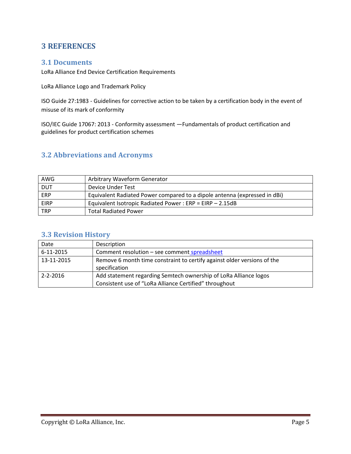## **3 REFERENCES**

### **3.1 Documents**

LoRa Alliance End Device Certification Requirements

LoRa Alliance Logo and Trademark Policy

ISO Guide 27:1983 - Guidelines for corrective action to be taken by a certification body in the event of misuse of its mark of conformity

ISO/IEC Guide 17067: 2013 - Conformity assessment —Fundamentals of product certification and guidelines for product certification schemes

### **3.2 Abbreviations and Acronyms**

| AWG         | Arbitrary Waveform Generator                                              |
|-------------|---------------------------------------------------------------------------|
| <b>DUT</b>  | Device Under Test                                                         |
| ERP         | Equivalent Radiated Power compared to a dipole antenna (expressed in dBi) |
| <b>EIRP</b> | Equivalent Isotropic Radiated Power: $ERP = EIRP - 2.15dB$                |
| <b>TRP</b>  | <b>Total Radiated Power</b>                                               |

## **3.3 Revision History**

| Date           | Description                                                                                                                |
|----------------|----------------------------------------------------------------------------------------------------------------------------|
| 6-11-2015      | Comment resolution - see comment spreadsheet                                                                               |
| 13-11-2015     | Remove 6 month time constraint to certify against older versions of the<br>specification                                   |
| $2 - 2 - 2016$ | Add statement regarding Semtech ownership of LoRa Alliance logos<br>Consistent use of "LoRa Alliance Certified" throughout |
|                |                                                                                                                            |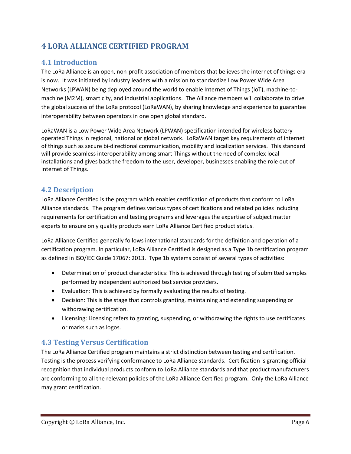# **4 LORA ALLIANCE CERTIFIED PROGRAM**

## **4.1 Introduction**

The LoRa Alliance is an open, non-profit association of members that believes the internet of things era is now. It was initiated by industry leaders with a mission to standardize Low Power Wide Area Networks (LPWAN) being deployed around the world to enable Internet of Things (IoT), machine-tomachine (M2M), smart city, and industrial applications. The Alliance members will collaborate to drive the global success of the LoRa protocol (LoRaWAN), by sharing knowledge and experience to guarantee interoperability between operators in one open global standard.

LoRaWAN is a Low Power Wide Area Network (LPWAN) specification intended for wireless battery operated Things in regional, national or global network. LoRaWAN target key requirements of internet of things such as secure bi-directional communication, mobility and localization services. This standard will provide seamless interoperability among smart Things without the need of complex local installations and gives back the freedom to the user, developer, businesses enabling the role out of Internet of Things.

### **4.2 Description**

LoRa Alliance Certified is the program which enables certification of products that conform to LoRa Alliance standards. The program defines various types of certifications and related policies including requirements for certification and testing programs and leverages the expertise of subject matter experts to ensure only quality products earn LoRa Alliance Certified product status.

LoRa Alliance Certified generally follows international standards for the definition and operation of a certification program. In particular, LoRa Alliance Certified is designed as a Type 1b certification program as defined in ISO/IEC Guide 17067: 2013. Type 1b systems consist of several types of activities:

- Determination of product characteristics: This is achieved through testing of submitted samples performed by independent authorized test service providers.
- Evaluation: This is achieved by formally evaluating the results of testing.
- Decision: This is the stage that controls granting, maintaining and extending suspending or withdrawing certification.
- Licensing: Licensing refers to granting, suspending, or withdrawing the rights to use certificates or marks such as logos.

### **4.3 Testing Versus Certification**

The LoRa Alliance Certified program maintains a strict distinction between testing and certification. Testing is the process verifying conformance to LoRa Alliance standards. Certification is granting official recognition that individual products conform to LoRa Alliance standards and that product manufacturers are conforming to all the relevant policies of the LoRa Alliance Certified program. Only the LoRa Alliance may grant certification.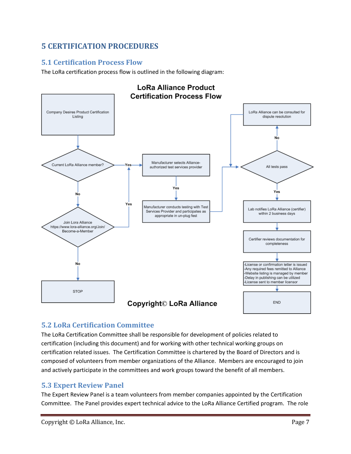# **5 CERTIFICATION PROCEDURES**

## **5.1 Certification Process Flow**

The LoRa certification process flow is outlined in the following diagram:



## **5.2 LoRa Certification Committee**

The LoRa Certification Committee shall be responsible for development of policies related to certification (including this document) and for working with other technical working groups on certification related issues. The Certification Committee is chartered by the Board of Directors and is composed of volunteers from member organizations of the Alliance. Members are encouraged to join and actively participate in the committees and work groups toward the benefit of all members.

### **5.3 Expert Review Panel**

The Expert Review Panel is a team volunteers from member companies appointed by the Certification Committee. The Panel provides expert technical advice to the LoRa Alliance Certified program. The role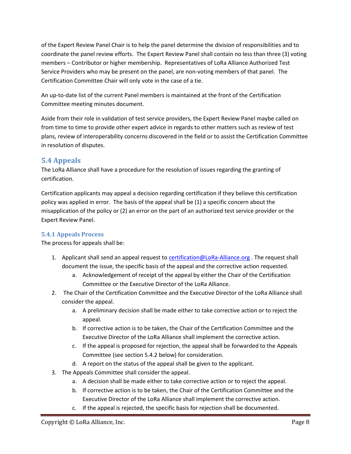of the Expert Review Panel Chair is to help the panel determine the division of responsibilities and to coordinate the panel review efforts. The Expert Review Panel shall contain no less than three (3) voting members – Contributor or higher membership. Representatives of LoRa Alliance Authorized Test Service Providers who may be present on the panel, are non-voting members of that panel. The Certification Committee Chair will only vote in the case of a tie.

An up-to-date list of the current Panel members is maintained at the front of the Certification Committee meeting minutes document.

Aside from their role in validation of test service providers, the Expert Review Panel maybe called on from time to time to provide other expert advice in regards to other matters such as review of test plans, review of interoperability concerns discovered in the field or to assist the Certification Committee in resolution of disputes.

## **5.4 Appeals**

The LoRa Alliance shall have a procedure for the resolution of issues regarding the granting of certification.

Certification applicants may appeal a decision regarding certification if they believe this certification policy was applied in error. The basis of the appeal shall be (1) a specific concern about the misapplication of the policy or (2) an error on the part of an authorized test service provider or the Expert Review Panel.

#### **5.4.1 Appeals Process**

The process for appeals shall be:

- 1. Applicant shall send an appeal request to certification@LoRa-Alliance.org . The request shall document the issue, the specific basis of the appeal and the corrective action requested.
	- a. Acknowledgement of receipt of the appeal by either the Chair of the Certification Committee or the Executive Director of the LoRa Alliance.
- 2. The Chair of the Certification Committee and the Executive Director of the LoRa Alliance shall consider the appeal.
	- a. A preliminary decision shall be made either to take corrective action or to reject the appeal.
	- b. If corrective action is to be taken, the Chair of the Certification Committee and the Executive Director of the LoRa Alliance shall implement the corrective action.
	- c. If the appeal is proposed for rejection, the appeal shall be forwarded to the Appeals Committee (see section 5.4.2 below) for consideration.
	- d. A report on the status of the appeal shall be given to the applicant.
- 3. The Appeals Committee shall consider the appeal.
	- a. A decision shall be made either to take corrective action or to reject the appeal.
	- b. If corrective action is to be taken, the Chair of the Certification Committee and the Executive Director of the LoRa Alliance shall implement the corrective action.
	- c. If the appeal is rejected, the specific basis for rejection shall be documented.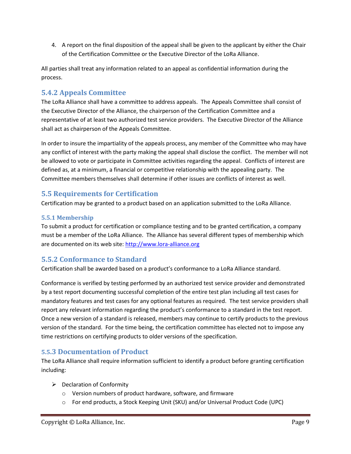4. A report on the final disposition of the appeal shall be given to the applicant by either the Chair of the Certification Committee or the Executive Director of the LoRa Alliance.

All parties shall treat any information related to an appeal as confidential information during the process.

## **5.4.2 Appeals Committee**

The LoRa Alliance shall have a committee to address appeals. The Appeals Committee shall consist of the Executive Director of the Alliance, the chairperson of the Certification Committee and a representative of at least two authorized test service providers. The Executive Director of the Alliance shall act as chairperson of the Appeals Committee.

In order to insure the impartiality of the appeals process, any member of the Committee who may have any conflict of interest with the party making the appeal shall disclose the conflict. The member will not be allowed to vote or participate in Committee activities regarding the appeal. Conflicts of interest are defined as, at a minimum, a financial or competitive relationship with the appealing party. The Committee members themselves shall determine if other issues are conflicts of interest as well.

## **5.5 Requirements for Certification**

Certification may be granted to a product based on an application submitted to the LoRa Alliance.

#### **5.5.1 Membership**

To submit a product for certification or compliance testing and to be granted certification, a company must be a member of the LoRa Alliance. The Alliance has several different types of membership which are documented on its web site: http://www.lora-alliance.org

# **5.5.2 Conformance to Standard**

Certification shall be awarded based on a product's conformance to a LoRa Alliance standard.

Conformance is verified by testing performed by an authorized test service provider and demonstrated by a test report documenting successful completion of the entire test plan including all test cases for mandatory features and test cases for any optional features as required. The test service providers shall report any relevant information regarding the product's conformance to a standard in the test report. Once a new version of a standard is released, members may continue to certify products to the previous version of the standard. For the time being, the certification committee has elected not to impose any time restrictions on certifying products to older versions of the specification.

### **5.5.3 Documentation of Product**

The LoRa Alliance shall require information sufficient to identify a product before granting certification including:

- $\triangleright$  Declaration of Conformity
	- o Version numbers of product hardware, software, and firmware
	- o For end products, a Stock Keeping Unit (SKU) and/or Universal Product Code (UPC)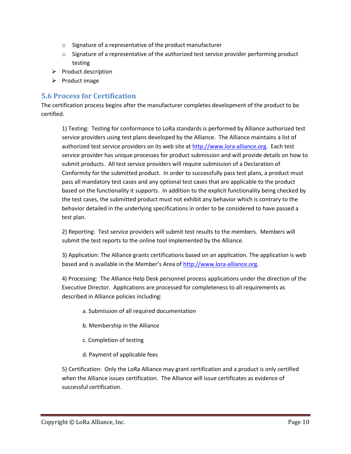- o Signature of a representative of the product manufacturer
- $\circ$  Signature of a representative of the authorized test service provider performing product testing
- $\triangleright$  Product description
- $\triangleright$  Product image

### **5.6 Process for Certification**

The certification process begins after the manufacturer completes development of the product to be certified.

1) Testing: Testing for conformance to LoRa standards is performed by Alliance authorized test service providers using test plans developed by the Alliance. The Alliance maintains a list of authorized test service providers on its web site at http://www.lora-alliance.org. Each test service provider has unique processes for product submission and will provide details on how to submit products. All test service providers will require submission of a Declaration of Conformity for the submitted product. In order to successfully pass test plans, a product must pass all mandatory test cases and any optional test cases that are applicable to the product based on the functionality it supports. In addition to the explicit functionality being checked by the test cases, the submitted product must not exhibit any behavior which is contrary to the behavior detailed in the underlying specifications in order to be considered to have passed a test plan.

2) Reporting: Test service providers will submit test results to the members. Members will submit the test reports to the online tool implemented by the Alliance.

3) Application: The Alliance grants certifications based on an application. The application is web based and is available in the Member's Area of http://www.lora-alliance.org.

4) Processing: The Alliance Help Desk personnel process applications under the direction of the Executive Director. Applications are processed for completeness to all requirements as described in Alliance policies including:

- a. Submission of all required documentation
- b. Membership in the Alliance
- c. Completion of testing
- d. Payment of applicable fees

5) Certification: Only the LoRa Alliance may grant certification and a product is only certified when the Alliance issues certification. The Alliance will issue certificates as evidence of successful certification.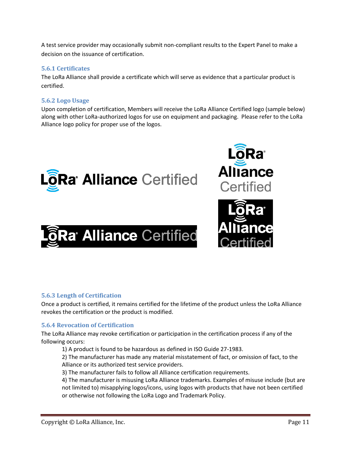A test service provider may occasionally submit non-compliant results to the Expert Panel to make a decision on the issuance of certification.

#### **5.6.1 Certificates**

The LoRa Alliance shall provide a certificate which will serve as evidence that a particular product is certified.

#### **5.6.2 Logo Usage**

Upon completion of certification, Members will receive the LoRa Alliance Certified logo (sample below) along with other LoRa-authorized logos for use on equipment and packaging. Please refer to the LoRa Alliance logo policy for proper use of the logos.







#### **5.6.3 Length of Certification**

Once a product is certified, it remains certified for the lifetime of the product unless the LoRa Alliance revokes the certification or the product is modified.

#### **5.6.4 Revocation of Certification**

The LoRa Alliance may revoke certification or participation in the certification process if any of the following occurs:

1) A product is found to be hazardous as defined in ISO Guide 27-1983.

2) The manufacturer has made any material misstatement of fact, or omission of fact, to the Alliance or its authorized test service providers.

3) The manufacturer fails to follow all Alliance certification requirements.

4) The manufacturer is misusing LoRa Alliance trademarks. Examples of misuse include (but are not limited to) misapplying logos/icons, using logos with products that have not been certified or otherwise not following the LoRa Logo and Trademark Policy.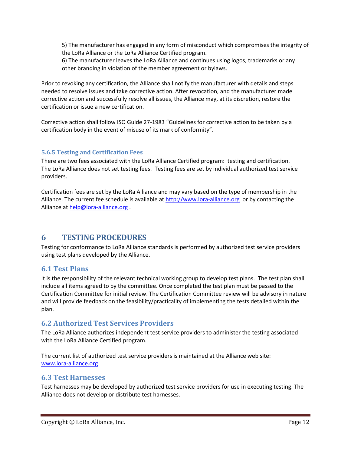5) The manufacturer has engaged in any form of misconduct which compromises the integrity of the LoRa Alliance or the LoRa Alliance Certified program.

6) The manufacturer leaves the LoRa Alliance and continues using logos, trademarks or any other branding in violation of the member agreement or bylaws.

Prior to revoking any certification, the Alliance shall notify the manufacturer with details and steps needed to resolve issues and take corrective action. After revocation, and the manufacturer made corrective action and successfully resolve all issues, the Alliance may, at its discretion, restore the certification or issue a new certification.

Corrective action shall follow ISO Guide 27-1983 "Guidelines for corrective action to be taken by a certification body in the event of misuse of its mark of conformity".

#### **5.6.5 Testing and Certification Fees**

There are two fees associated with the LoRa Alliance Certified program: testing and certification. The LoRa Alliance does not set testing fees. Testing fees are set by individual authorized test service providers.

Certification fees are set by the LoRa Alliance and may vary based on the type of membership in the Alliance. The current fee schedule is available at http://www.lora-alliance.org or by contacting the Alliance at help@lora-alliance.org.

### **6 TESTING PROCEDURES**

Testing for conformance to LoRa Alliance standards is performed by authorized test service providers using test plans developed by the Alliance.

#### **6.1 Test Plans**

It is the responsibility of the relevant technical working group to develop test plans. The test plan shall include all items agreed to by the committee. Once completed the test plan must be passed to the Certification Committee for initial review. The Certification Committee review will be advisory in nature and will provide feedback on the feasibility/practicality of implementing the tests detailed within the plan.

#### **6.2 Authorized Test Services Providers**

The LoRa Alliance authorizes independent test service providers to administer the testing associated with the LoRa Alliance Certified program.

The current list of authorized test service providers is maintained at the Alliance web site: www.lora-alliance.org

#### **6.3 Test Harnesses**

Test harnesses may be developed by authorized test service providers for use in executing testing. The Alliance does not develop or distribute test harnesses.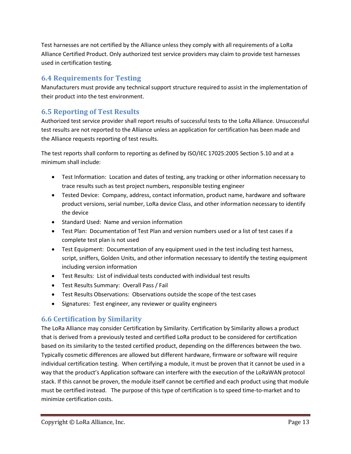Test harnesses are not certified by the Alliance unless they comply with all requirements of a LoRa Alliance Certified Product. Only authorized test service providers may claim to provide test harnesses used in certification testing.

## **6.4 Requirements for Testing**

Manufacturers must provide any technical support structure required to assist in the implementation of their product into the test environment.

## **6.5 Reporting of Test Results**

Authorized test service provider shall report results of successful tests to the LoRa Alliance. Unsuccessful test results are not reported to the Alliance unless an application for certification has been made and the Alliance requests reporting of test results.

The test reports shall conform to reporting as defined by ISO/IEC 17025:2005 Section 5.10 and at a minimum shall include:

- Test Information: Location and dates of testing, any tracking or other information necessary to trace results such as test project numbers, responsible testing engineer
- Tested Device: Company, address, contact information, product name, hardware and software product versions, serial number, LoRa device Class, and other information necessary to identify the device
- Standard Used: Name and version information
- Test Plan: Documentation of Test Plan and version numbers used or a list of test cases if a complete test plan is not used
- Test Equipment: Documentation of any equipment used in the test including test harness, script, sniffers, Golden Units, and other information necessary to identify the testing equipment including version information
- Test Results: List of individual tests conducted with individual test results
- Test Results Summary: Overall Pass / Fail
- Test Results Observations: Observations outside the scope of the test cases
- Signatures: Test engineer, any reviewer or quality engineers

## **6.6 Certification by Similarity**

The LoRa Alliance may consider Certification by Similarity. Certification by Similarity allows a product that is derived from a previously tested and certified LoRa product to be considered for certification based on its similarity to the tested certified product, depending on the differences between the two. Typically cosmetic differences are allowed but different hardware, firmware or software will require individual certification testing. When certifying a module, it must be proven that it cannot be used in a way that the product's Application software can interfere with the execution of the LoRaWAN protocol stack. If this cannot be proven, the module itself cannot be certified and each product using that module must be certified instead. The purpose of this type of certification is to speed time-to-market and to minimize certification costs.